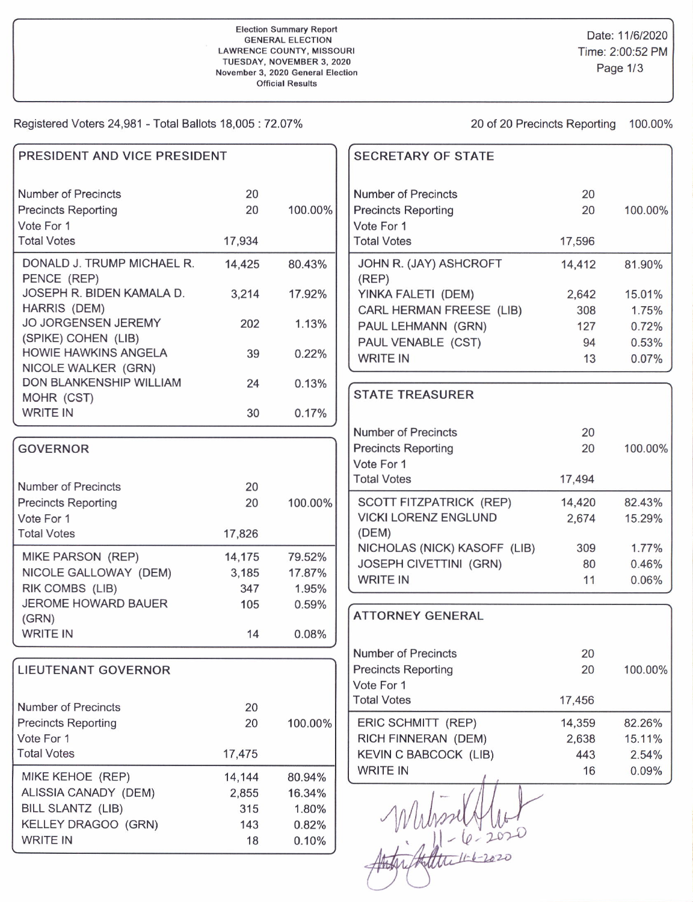## Election Summary Report GENERAL ELECTION LAWRENCE COUNTY, MISSOURI TUESDAY, NOVEMBER 3, 2O2O November 3, 2020 General Election **Official Results**

Registered Voters 24,981 - Total Ballots 18,005 : 72.07% 20 of 20 Precincts Reporting 100.00%

| PRESIDENT AND VICE PRESIDENT                                    |          |         | <b>SECRETARY OF STATE</b>                                              |            |                |
|-----------------------------------------------------------------|----------|---------|------------------------------------------------------------------------|------------|----------------|
| Number of Precincts<br><b>Precincts Reporting</b><br>Vote For 1 | 20<br>20 | 100.00% | <b>Number of Precincts</b><br><b>Precincts Reporting</b><br>Vote For 1 | 20<br>20   | 100.00%        |
| <b>Total Votes</b>                                              | 17,934   |         | <b>Total Votes</b>                                                     | 17,596     |                |
| DONALD J. TRUMP MICHAEL R.<br>PENCE (REP)                       | 14,425   | 80.43%  | JOHN R. (JAY) ASHCROFT<br>(REP)                                        | 14,412     | 81.90%         |
| JOSEPH R. BIDEN KAMALA D.<br>HARRIS (DEM)                       | 3,214    | 17.92%  | YINKA FALETI (DEM)                                                     | 2,642      | 15.01%         |
| <b>JO JORGENSEN JEREMY</b><br>(SPIKE) COHEN (LIB)               | 202      | 1.13%   | CARL HERMAN FREESE (LIB)<br>PAUL LEHMANN (GRN)                         | 308<br>127 | 1.75%<br>0.72% |
| HOWIE HAWKINS ANGELA<br>NICOLE WALKER (GRN)                     | 39       | 0.22%   | PAUL VENABLE (CST)<br><b>WRITE IN</b>                                  | 94<br>13   | 0.53%<br>0.07% |
| DON BLANKENSHIP WILLIAM                                         | 24       | 0.13%   | <b>STATE TREASURER</b>                                                 |            |                |
| MOHR (CST)<br><b>WRITE IN</b>                                   | 30       | 0.17%   |                                                                        |            |                |
|                                                                 |          |         | <b>Number of Precincts</b>                                             | 20         |                |
| <b>GOVERNOR</b>                                                 |          |         | <b>Precincts Reporting</b>                                             | 20         | 100.00%        |
|                                                                 |          |         | Vote For 1                                                             |            |                |
| Number of Precincts                                             | 20       |         | <b>Total Votes</b>                                                     | 17,494     |                |
| <b>Precincts Reporting</b>                                      | 20       | 100.00% | SCOTT FITZPATRICK (REP)                                                | 14,420     | 82.43%         |
| Vote For 1                                                      |          |         | <b>VICKI LORENZ ENGLUND</b>                                            | 2,674      | 15.29%         |
| <b>Total Votes</b>                                              | 17,826   |         | (DEM)                                                                  |            |                |
| MIKE PARSON (REP)                                               | 14,175   | 79.52%  | NICHOLAS (NICK) KASOFF (LIB)                                           | 309        | 1.77%          |
| NICOLE GALLOWAY (DEM)                                           | 3,185    | 17.87%  | <b>JOSEPH CIVETTINI (GRN)</b>                                          | 80         | 0.46%          |
| RIK COMBS (LIB)                                                 | 347      | 1.95%   | <b>WRITE IN</b>                                                        | 11         | 0.06%          |
| <b>JEROME HOWARD BAUER</b>                                      | 105      | 0.59%   |                                                                        |            |                |
| (GRN)                                                           |          |         | <b>ATTORNEY GENERAL</b>                                                |            |                |
| <b>WRITE IN</b>                                                 | 14       | 0.08%   |                                                                        |            |                |
|                                                                 |          |         | <b>Number of Precincts</b>                                             | 20         |                |
| <b>LIEUTENANT GOVERNOR</b>                                      |          |         | <b>Precincts Reporting</b>                                             | 20         | 100.00%        |
|                                                                 |          |         | Vote For 1                                                             |            |                |
| Number of Precincts                                             | 20       |         | <b>Total Votes</b>                                                     | 17,456     |                |
| <b>Precincts Reporting</b>                                      | 20       | 100.00% | ERIC SCHMITT (REP)                                                     | 14,359     | 82.26%         |
| Vote For 1                                                      |          |         | RICH FINNERAN (DEM)                                                    | 2,638      | 15.11%         |
| <b>Total Votes</b>                                              | 17,475   |         | KEVIN C BABCOCK (LIB)                                                  | 443        | 2.54%          |
| MIKE KEHOE (REP)                                                | 14,144   | 80.94%  | <b>WRITE IN</b>                                                        | 16         | 0.09%          |
| ALISSIA CANADY (DEM)                                            | 2,855    | 16.34%  |                                                                        |            |                |
| BILL SLANTZ (LIB)                                               | 315      | 1.80%   |                                                                        |            |                |
| KELLEY DRAGOO (GRN)                                             | 143      | 0.82%   |                                                                        |            |                |
| <b>WRITE IN</b>                                                 | 18       | 0.10%   | $ 1-(e-202)$                                                           |            |                |
|                                                                 |          |         |                                                                        |            |                |